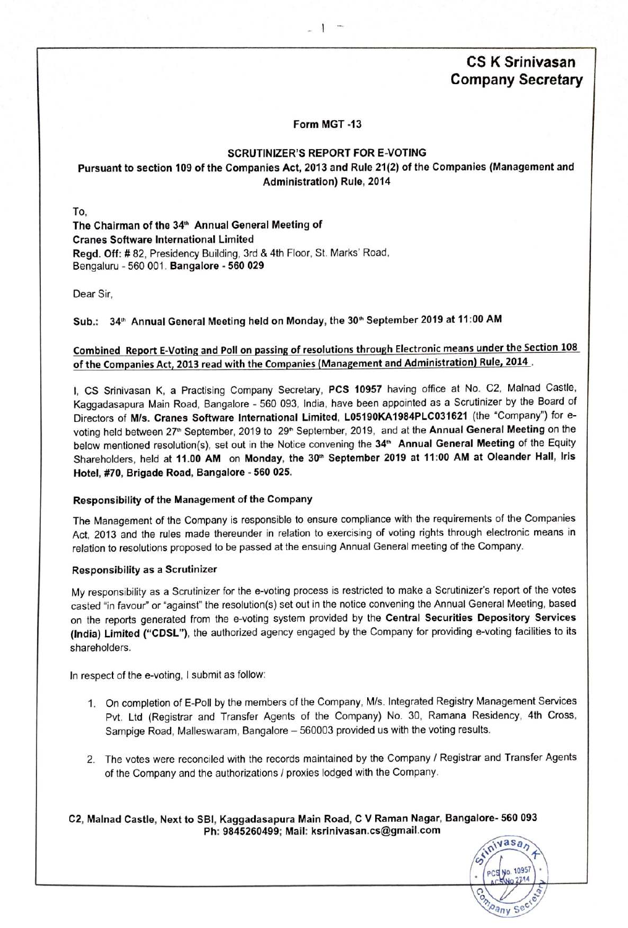# **CS** K Srinivasan Company **Secretary**

## Form **MGT -13**

 $\mathbf{I}$ 

## **SCRUTINIZER'S REPORT FOR E-VOTING**

## **Pursuant to section 109 of the Companies Act, 2013 and Rule 21(2) of the Companies (Management and Administration) Rule, 2014**

**To.**

**The Chairman of the 34'"** Annual **General Meeting of Cranes Software International Limited Regd.** Off: *#* **82, Presidency**Building,**3rd** *&* **4th** Floor,**St.** Marks"**Road. Bengaluru***-* **560 001. Bangalore** *-* **560 029**

**Dear Sir.**

# **Sub.: 34'"** Annual **General Meeting held on** Monday, **the 30'"September 2019 at 11:00 AM**

# **Combined Report E-Votingand Pollon passingof resolutionsthrough Electronicmeans under the Section108 of the CompaniesAct, 2013 read with the Companies(Management and Administration) Rule, 2014 .**

**l, CS** Srinivasan**K,** *a* **Practising**Company **Secretary, PCS 10957 having office at No. C2.** Malnad **Castle,** KaggadasapuraMain Road, **Bangalore***-* **560 093,** India, **have been appointedas** *a* **Scrutinizerby the** Board **of Directorsof M/s. Cranes Software International Limited. L05190KA1984PLC031621 (the** "Company") **for evotingheld between27'hSeptember,2019 to 29""September,2019, and at the Annual General Meeting on the below mentionedresolution(s).set out in the Noticeconveningthe 34'"** Annual **General Meeting of the Equity Shareholders,held at 11.00 AM on** Monday, **the 30'"September 2019 at 11:00 AM at Oleander** Hall, Iris **Hotel, #70, Brigade** Road, **Bangalore** *-* **560 025.**

## **Responsibility of the Management of the** Company

**The Managementof the** Company **is responsibleto ensure compliancewith the requirementsof the Companies Act, 2013 and the rules made thereunderin relationto exercisingof votingrightsthroughelectronicmeans in relationto resolutionsproposedto be passedat the ensuing**AnnuaI **Generalmeetingof the** Company.

## **Responsibility as a Scrutinizer**

**My responsibilityas** *a* **Scrutinizerforthe e-votingprocessis restrictedto make** *a* **Scrutinizer'sreportof the votes** casted "in favour" or "against" the resolution(s) set out in the notice convening the Annual General Meeting, based **on the reportsgenerated** from **the e-votingsystem providedby the Central Securities Depository Services (India) Limited ("CDSL"). the authorizedagency engaged by the** Company **for** providing**e-votingfacilitiesto its shareholders.**

**In respectof the e-voting,***|* **submitas follow:**

- **1. On completionof** E-Poll **by the membersof the** Company, **M/s. IntegratedRegistryManagementServices Pvt. Ltd (Registrar and Transfer Agents of the** Company) **No. 30,** Ramana **Residency, 4th** Cross, Sampige Road, Malleswaram, Bangalore - 560003 provided us with the voting results.
- **2. The voteswere reconciledwith the recordsmaintainedby the** Company/ **Registrarand TransferAgents of the** Company **and the authorizations***/* **proxieslodgedwiththe Company.**

**C2,** Malnad **Castle, Next to SBI,** KaggadasapuraMain **Road, C V Raman** Nagar, **Bangalore- 560 093 Ph: 9845260499;** Mail: **ksrinivasan.cs@gmail.com <sup>A</sup>**

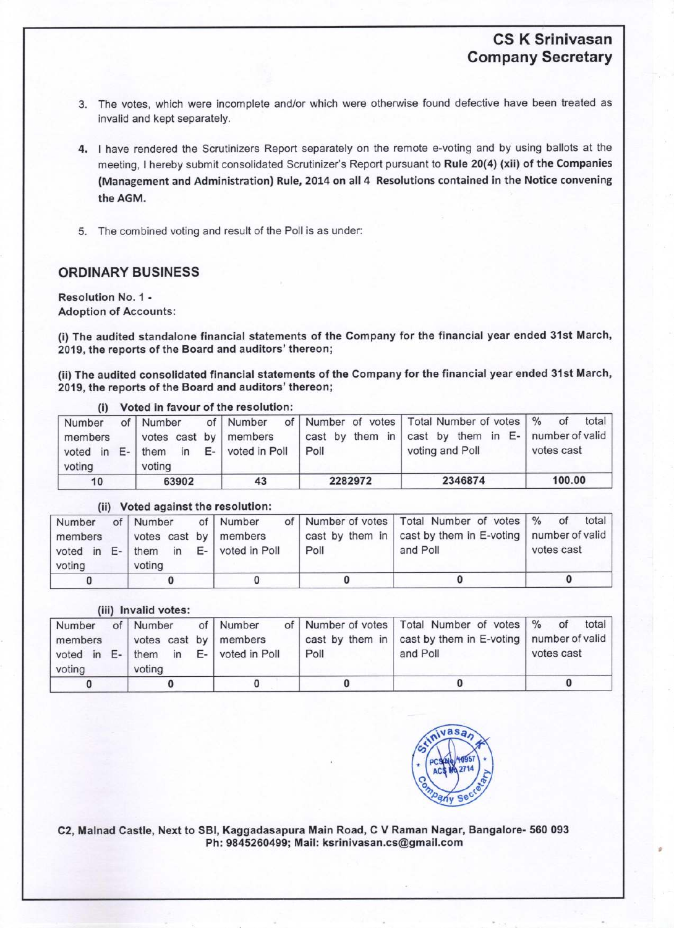# CS K **Srinivasan** Company Secretary

- 3. The votes, which were incomplete and/or which were otherwise found defective have been treated as invalid and kept separately.
- 4. I have rendered the Scrutinizers Report separately on the remote e-voting and by using ballots at the meeting, I hereby submit consolidated Scrutinizer's Report pursuant to Rule 20(4) (xii) of the Companies (Management and Administration) Rule, 2014 on all 4 Resolutions contained in the Notice convening the AGM.
- 5. The combined voting and result of the Poll is as under:

# ORDINARY BUSINESS

Resolution No. **1** *-* Adoption of Accounts:

(i) The audited standalone **financial** statements of the Company for the **financial** year ended 31st March, **2019,** the reports of the Board and auditors' thereon;

**(ii)** The audited consolidated **financial** statements of the Company for the **financial** year ended 31st March, 2019, the reports of the Board and auditors' thereon;

| $\cdots$                                |    |                                                          | voted in favour of the resolution. |         |                                                                                                                              |                     |
|-----------------------------------------|----|----------------------------------------------------------|------------------------------------|---------|------------------------------------------------------------------------------------------------------------------------------|---------------------|
| Number<br>members<br>voted in<br>voting | E- | of   Number<br>votes cast by   members<br>them<br>voting | of   Number<br>in E- voted in Poll | Poll    | of Number of votes Total Number of votes   % of<br>cast by them in cast by them in E-   number of valid  <br>voting and Poll | total<br>votes cast |
| 10                                      |    | 63902                                                    | 43                                 | 2282972 | 2346874                                                                                                                      | 100.00              |

## (i) Voted in **favour** of the resolution:

|  |  | (ii) Voted against the resolution: |  |  |  |
|--|--|------------------------------------|--|--|--|
|--|--|------------------------------------|--|--|--|

| Number<br>members<br>voting |  | of   Number<br>votes cast by   members<br>voted in E-   them in E-   voted in Poll<br>voting | of   Number | Poll | of   Number of votes   Total Number of votes   % of total  <br>cast by them in   cast by them in E-voting   number of valid  <br>and Poll | votes cast |
|-----------------------------|--|----------------------------------------------------------------------------------------------|-------------|------|-------------------------------------------------------------------------------------------------------------------------------------------|------------|
|                             |  |                                                                                              |             |      |                                                                                                                                           |            |

# **(iii) Invalid** votes:

| Number<br>members | of Number of Number<br>votes cast by members   |      | of   Number of votes   Total Number of votes   % of total<br>cast by them in   cast by them in E-voting   number of valid |            |
|-------------------|------------------------------------------------|------|---------------------------------------------------------------------------------------------------------------------------|------------|
| voting            | voted in E- them in E- voted in Poll<br>voting | Poll | and Poll                                                                                                                  | votes cast |
|                   |                                                |      |                                                                                                                           |            |



C2, **Malnad** Castle, Next to SBI. **Kaggadasapura Main Road, C V Raman Nagar,** Bangalore- 560 093 Ph: **9845260499; Mail: ksrinivasan.cs@gmail.com**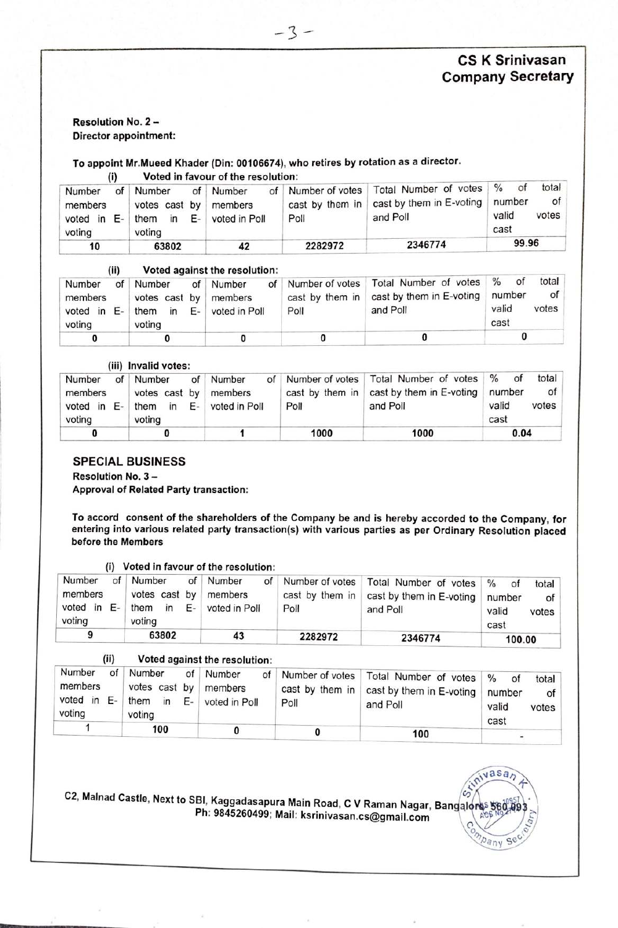# **CS** K **Srinivasan Company Secretary**

**-qasa3**

pany  $C_{1}$ e

## **Resolution No. 2 - Director appointment:**

# **To appoint Mr.Mueed Khader (Din: 00106674), who retires** by **rotation as a director.**

 $(i)$  Voted in favour of the resolution:

| Number<br>members<br>voted in E-<br>voting | of Number<br>voting | of Number<br>votes cast by members<br>them in E- voted in Poll | Poll    | of Number of votes   Total Number of votes   % of<br>cast by them in   cast by them in E-voting   number<br>and Poll | total<br>of I<br>valid<br>votes<br>cast |
|--------------------------------------------|---------------------|----------------------------------------------------------------|---------|----------------------------------------------------------------------------------------------------------------------|-----------------------------------------|
| 10                                         | 63802               | 42                                                             | 2282972 | 2346774                                                                                                              | 99.96                                   |

### **(ii) Voted againstthe resolution:** *7 \_* **a ,7 W7"**

| Number<br>members<br>voted in E-<br>voting | of | Number<br>votes cast by members<br>voting | of Number<br>them in $E-$ voted in Poll | Poll | of Number of votes   Total Number of votes   % of<br>cast by them in $\vert$ cast by them in E-voting $\vert$ number<br>and Poll | total<br>of<br>valid<br>votes<br>cast |
|--------------------------------------------|----|-------------------------------------------|-----------------------------------------|------|----------------------------------------------------------------------------------------------------------------------------------|---------------------------------------|
|                                            |    |                                           |                                         |      |                                                                                                                                  |                                       |

#### **(iii) Invalid votes:**

| Number<br>members<br>voted in E-<br>voting | of | Number<br>votes cast by members<br>them in E- voted in Poll<br>voting | of Number | Poll | of Number of votes   Total Number of votes   % of<br>cast by them in $\vert$ cast by them in E-voting<br>and Poll | total<br>οf<br>number<br>valid<br>votes<br>cast |
|--------------------------------------------|----|-----------------------------------------------------------------------|-----------|------|-------------------------------------------------------------------------------------------------------------------|-------------------------------------------------|
|                                            |    |                                                                       |           | 1000 | 1000                                                                                                              | 0.04                                            |

## SPECIAL BUSINESS

**ResolutionNo. 3 -**

**Approval of Related Party transaction:**

**To accord consent of the shareholders of the Company be and is hereby accorded to the Company, for entering into various related party transaction(s) with various parties as per Ordinary Resolution placed before the Members**

|                                         | (i)      |                                                               | Voted in favour of the resolution: |                                            |                                                               |                                                                                   |
|-----------------------------------------|----------|---------------------------------------------------------------|------------------------------------|--------------------------------------------|---------------------------------------------------------------|-----------------------------------------------------------------------------------|
| Number<br>members<br>voted in<br>voting | of<br>Е- | Number<br>votes cast by members<br>Е.<br>them<br>in<br>voting | of Number<br>of<br>voted in Poll   | Number of votes<br>cast by them in<br>Poll | Total Number of votes<br>cast by them in E-voting<br>and Poll | $\frac{0}{n}$<br><sup>of</sup><br>total<br>number<br>of<br>valid<br>votes<br>cast |
| 9                                       |          | 63802                                                         | 43                                 | 2282972                                    | 2346774                                                       | 100.00                                                                            |

## **(ii** , **Voted against the resolution:**

| Number<br>members<br>voted in E-<br>voting | of | Number<br>votes cast by   members<br>them in $E-$<br>voting | of Number<br>voted in Poll | Poll | of   Number of votes   Total Number of votes   %<br>cast by them in cast by them in E-voting<br>and Poll | οf<br>total<br>number<br>of<br>valid<br>votes<br>cast |
|--------------------------------------------|----|-------------------------------------------------------------|----------------------------|------|----------------------------------------------------------------------------------------------------------|-------------------------------------------------------|
|                                            |    | 100                                                         |                            |      | 100                                                                                                      |                                                       |

C2, Malnad Castle, Next to SBI, Kaggadasapura Main Road, C V Raman Nagar, Bangalores<br>Ph: 9845260499; Mail: ksrinivasan.cs@gmail.com